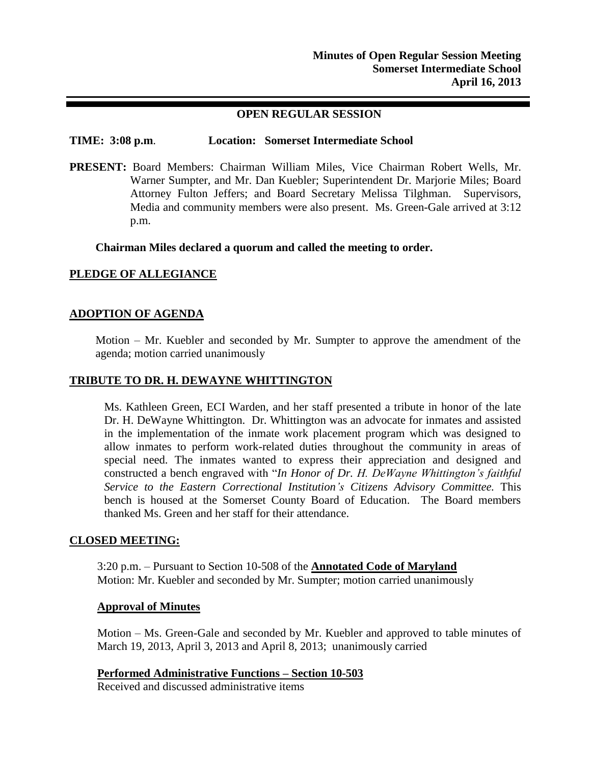## **OPEN REGULAR SESSION**

#### **TIME: 3:08 p.m**. **Location: Somerset Intermediate School**

**PRESENT:** Board Members: Chairman William Miles, Vice Chairman Robert Wells, Mr. Warner Sumpter, and Mr. Dan Kuebler; Superintendent Dr. Marjorie Miles; Board Attorney Fulton Jeffers; and Board Secretary Melissa Tilghman. Supervisors, Media and community members were also present. Ms. Green-Gale arrived at 3:12 p.m.

**Chairman Miles declared a quorum and called the meeting to order.**

## **PLEDGE OF ALLEGIANCE**

## **ADOPTION OF AGENDA**

Motion – Mr. Kuebler and seconded by Mr. Sumpter to approve the amendment of the agenda; motion carried unanimously

#### **TRIBUTE TO DR. H. DEWAYNE WHITTINGTON**

Ms. Kathleen Green, ECI Warden, and her staff presented a tribute in honor of the late Dr. H. DeWayne Whittington. Dr. Whittington was an advocate for inmates and assisted in the implementation of the inmate work placement program which was designed to allow inmates to perform work-related duties throughout the community in areas of special need. The inmates wanted to express their appreciation and designed and constructed a bench engraved with "*In Honor of Dr. H. DeWayne Whittington's faithful Service to the Eastern Correctional Institution's Citizens Advisory Committee.* This bench is housed at the Somerset County Board of Education. The Board members thanked Ms. Green and her staff for their attendance.

## **CLOSED MEETING:**

3:20 p.m. – Pursuant to Section 10-508 of the **Annotated Code of Maryland** Motion: Mr. Kuebler and seconded by Mr. Sumpter; motion carried unanimously

#### **Approval of Minutes**

Motion – Ms. Green-Gale and seconded by Mr. Kuebler and approved to table minutes of March 19, 2013, April 3, 2013 and April 8, 2013; unanimously carried

**Performed Administrative Functions – Section 10-503**

Received and discussed administrative items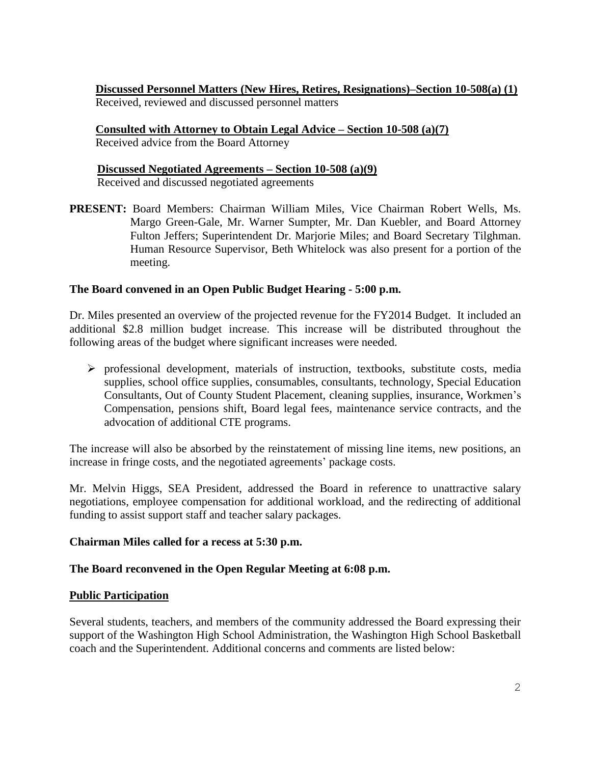**Discussed Personnel Matters (New Hires, Retires, Resignations)–Section 10-508(a) (1)** Received, reviewed and discussed personnel matters

**Consulted with Attorney to Obtain Legal Advice – Section 10-508 (a)(7)**

Received advice from the Board Attorney

**Discussed Negotiated Agreements – Section 10-508 (a)(9)** Received and discussed negotiated agreements

**PRESENT:** Board Members: Chairman William Miles, Vice Chairman Robert Wells, Ms. Margo Green-Gale, Mr. Warner Sumpter, Mr. Dan Kuebler, and Board Attorney Fulton Jeffers; Superintendent Dr. Marjorie Miles; and Board Secretary Tilghman. Human Resource Supervisor, Beth Whitelock was also present for a portion of the meeting.

# **The Board convened in an Open Public Budget Hearing - 5:00 p.m.**

Dr. Miles presented an overview of the projected revenue for the FY2014 Budget. It included an additional \$2.8 million budget increase. This increase will be distributed throughout the following areas of the budget where significant increases were needed.

 $\triangleright$  professional development, materials of instruction, textbooks, substitute costs, media supplies, school office supplies, consumables, consultants, technology, Special Education Consultants, Out of County Student Placement, cleaning supplies, insurance, Workmen's Compensation, pensions shift, Board legal fees, maintenance service contracts, and the advocation of additional CTE programs.

The increase will also be absorbed by the reinstatement of missing line items, new positions, an increase in fringe costs, and the negotiated agreements' package costs.

Mr. Melvin Higgs, SEA President, addressed the Board in reference to unattractive salary negotiations, employee compensation for additional workload, and the redirecting of additional funding to assist support staff and teacher salary packages.

# **Chairman Miles called for a recess at 5:30 p.m.**

# **The Board reconvened in the Open Regular Meeting at 6:08 p.m.**

# **Public Participation**

Several students, teachers, and members of the community addressed the Board expressing their support of the Washington High School Administration, the Washington High School Basketball coach and the Superintendent. Additional concerns and comments are listed below: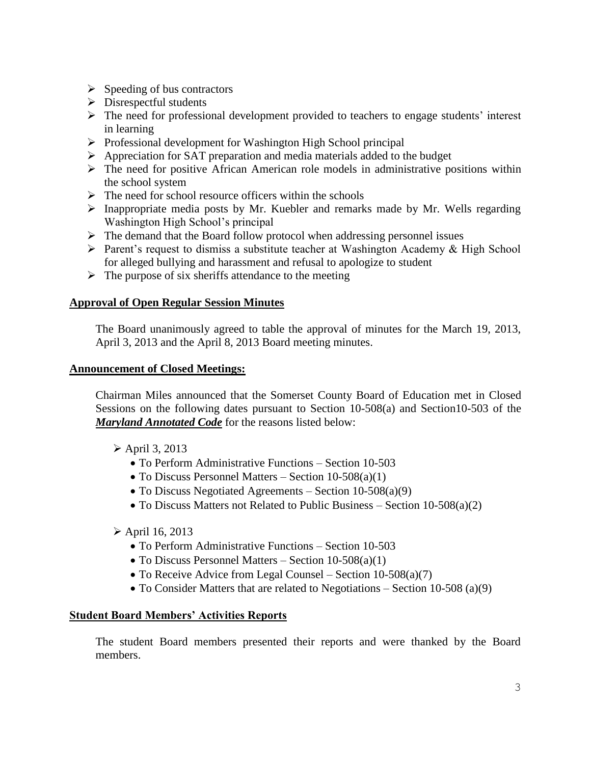- $\triangleright$  Speeding of bus contractors
- $\triangleright$  Disrespectful students
- $\triangleright$  The need for professional development provided to teachers to engage students' interest in learning
- $\triangleright$  Professional development for Washington High School principal
- $\triangleright$  Appreciation for SAT preparation and media materials added to the budget
- $\triangleright$  The need for positive African American role models in administrative positions within the school system
- $\triangleright$  The need for school resource officers within the schools
- $\triangleright$  Inappropriate media posts by Mr. Kuebler and remarks made by Mr. Wells regarding Washington High School's principal
- $\triangleright$  The demand that the Board follow protocol when addressing personnel issues
- $\triangleright$  Parent's request to dismiss a substitute teacher at Washington Academy & High School for alleged bullying and harassment and refusal to apologize to student
- $\triangleright$  The purpose of six sheriffs attendance to the meeting

## **Approval of Open Regular Session Minutes**

The Board unanimously agreed to table the approval of minutes for the March 19, 2013, April 3, 2013 and the April 8, 2013 Board meeting minutes.

## **Announcement of Closed Meetings:**

Chairman Miles announced that the Somerset County Board of Education met in Closed Sessions on the following dates pursuant to Section 10-508(a) and Section10-503 of the *Maryland Annotated Code* for the reasons listed below:

- $\triangleright$  April 3, 2013
	- To Perform Administrative Functions Section 10-503
	- To Discuss Personnel Matters Section 10-508(a)(1)
	- To Discuss Negotiated Agreements Section 10-508(a)(9)
	- To Discuss Matters not Related to Public Business Section 10-508(a)(2)
- $\triangleright$  April 16, 2013
	- To Perform Administrative Functions Section 10-503
	- $\bullet$  To Discuss Personnel Matters Section 10-508(a)(1)
	- To Receive Advice from Legal Counsel Section 10-508(a)(7)
	- To Consider Matters that are related to Negotiations Section 10-508 (a)(9)

## **Student Board Members' Activities Reports**

The student Board members presented their reports and were thanked by the Board members.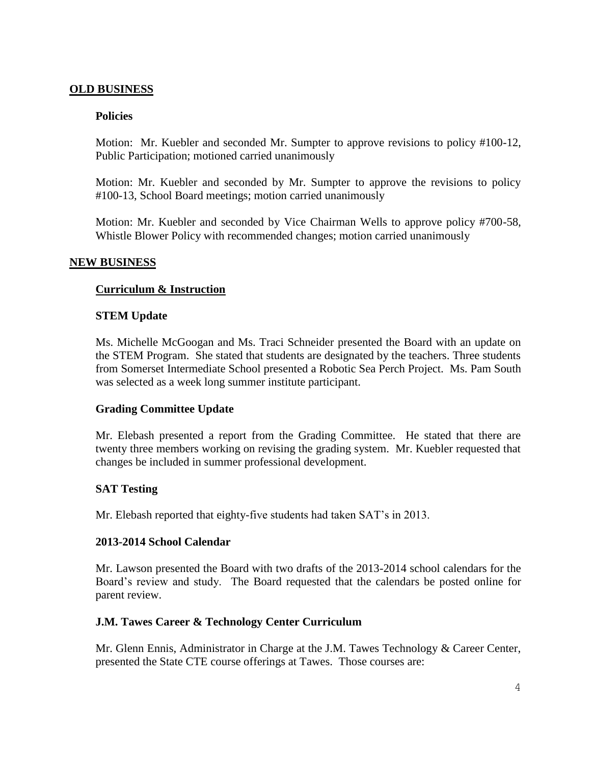## **OLD BUSINESS**

## **Policies**

Motion: Mr. Kuebler and seconded Mr. Sumpter to approve revisions to policy #100-12, Public Participation; motioned carried unanimously

Motion: Mr. Kuebler and seconded by Mr. Sumpter to approve the revisions to policy #100-13, School Board meetings; motion carried unanimously

Motion: Mr. Kuebler and seconded by Vice Chairman Wells to approve policy #700-58, Whistle Blower Policy with recommended changes; motion carried unanimously

## **NEW BUSINESS**

## **Curriculum & Instruction**

#### **STEM Update**

Ms. Michelle McGoogan and Ms. Traci Schneider presented the Board with an update on the STEM Program. She stated that students are designated by the teachers. Three students from Somerset Intermediate School presented a Robotic Sea Perch Project. Ms. Pam South was selected as a week long summer institute participant.

#### **Grading Committee Update**

Mr. Elebash presented a report from the Grading Committee. He stated that there are twenty three members working on revising the grading system. Mr. Kuebler requested that changes be included in summer professional development.

## **SAT Testing**

Mr. Elebash reported that eighty-five students had taken SAT's in 2013.

#### **2013-2014 School Calendar**

Mr. Lawson presented the Board with two drafts of the 2013-2014 school calendars for the Board's review and study. The Board requested that the calendars be posted online for parent review.

## **J.M. Tawes Career & Technology Center Curriculum**

Mr. Glenn Ennis, Administrator in Charge at the J.M. Tawes Technology & Career Center, presented the State CTE course offerings at Tawes. Those courses are: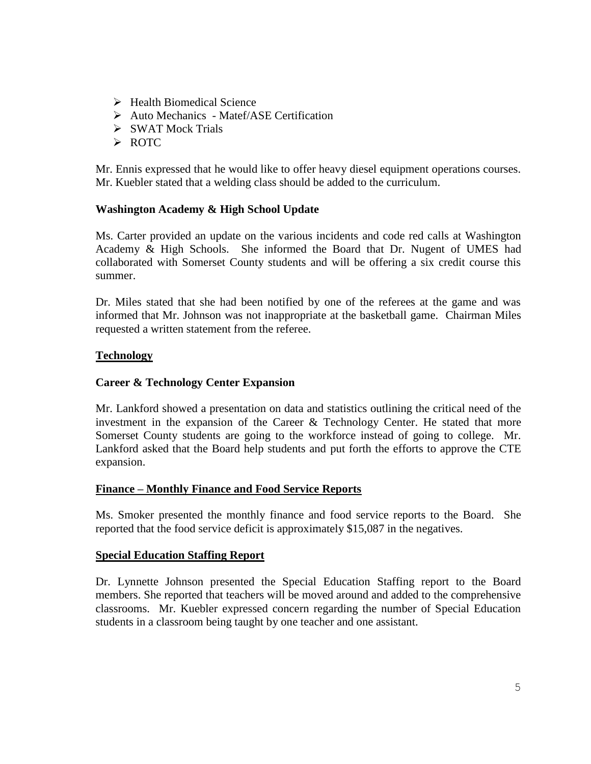- $\triangleright$  Health Biomedical Science
- Auto Mechanics Matef/ASE Certification
- $\triangleright$  SWAT Mock Trials
- > ROTC

Mr. Ennis expressed that he would like to offer heavy diesel equipment operations courses. Mr. Kuebler stated that a welding class should be added to the curriculum.

## **Washington Academy & High School Update**

Ms. Carter provided an update on the various incidents and code red calls at Washington Academy & High Schools. She informed the Board that Dr. Nugent of UMES had collaborated with Somerset County students and will be offering a six credit course this summer.

Dr. Miles stated that she had been notified by one of the referees at the game and was informed that Mr. Johnson was not inappropriate at the basketball game. Chairman Miles requested a written statement from the referee.

## **Technology**

## **Career & Technology Center Expansion**

Mr. Lankford showed a presentation on data and statistics outlining the critical need of the investment in the expansion of the Career & Technology Center. He stated that more Somerset County students are going to the workforce instead of going to college. Mr. Lankford asked that the Board help students and put forth the efforts to approve the CTE expansion.

## **Finance – Monthly Finance and Food Service Reports**

Ms. Smoker presented the monthly finance and food service reports to the Board. She reported that the food service deficit is approximately \$15,087 in the negatives.

## **Special Education Staffing Report**

Dr. Lynnette Johnson presented the Special Education Staffing report to the Board members. She reported that teachers will be moved around and added to the comprehensive classrooms. Mr. Kuebler expressed concern regarding the number of Special Education students in a classroom being taught by one teacher and one assistant.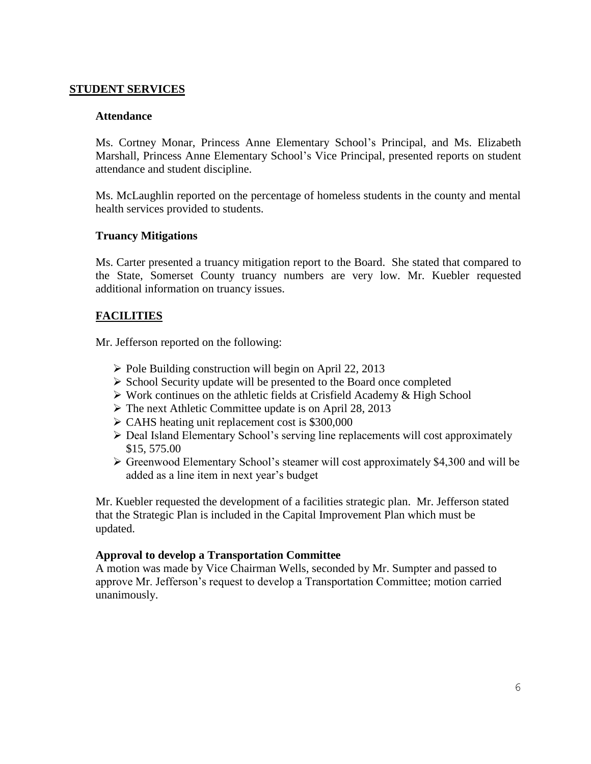## **STUDENT SERVICES**

## **Attendance**

Ms. Cortney Monar, Princess Anne Elementary School's Principal, and Ms. Elizabeth Marshall, Princess Anne Elementary School's Vice Principal, presented reports on student attendance and student discipline.

Ms. McLaughlin reported on the percentage of homeless students in the county and mental health services provided to students.

## **Truancy Mitigations**

Ms. Carter presented a truancy mitigation report to the Board. She stated that compared to the State, Somerset County truancy numbers are very low. Mr. Kuebler requested additional information on truancy issues.

## **FACILITIES**

Mr. Jefferson reported on the following:

- $\triangleright$  Pole Building construction will begin on April 22, 2013
- $\triangleright$  School Security update will be presented to the Board once completed
- Work continues on the athletic fields at Crisfield Academy & High School
- $\triangleright$  The next Athletic Committee update is on April 28, 2013
- $\triangleright$  CAHS heating unit replacement cost is \$300,000
- Deal Island Elementary School's serving line replacements will cost approximately \$15, 575.00
- Greenwood Elementary School's steamer will cost approximately \$4,300 and will be added as a line item in next year's budget

Mr. Kuebler requested the development of a facilities strategic plan. Mr. Jefferson stated that the Strategic Plan is included in the Capital Improvement Plan which must be updated.

## **Approval to develop a Transportation Committee**

A motion was made by Vice Chairman Wells, seconded by Mr. Sumpter and passed to approve Mr. Jefferson's request to develop a Transportation Committee; motion carried unanimously.